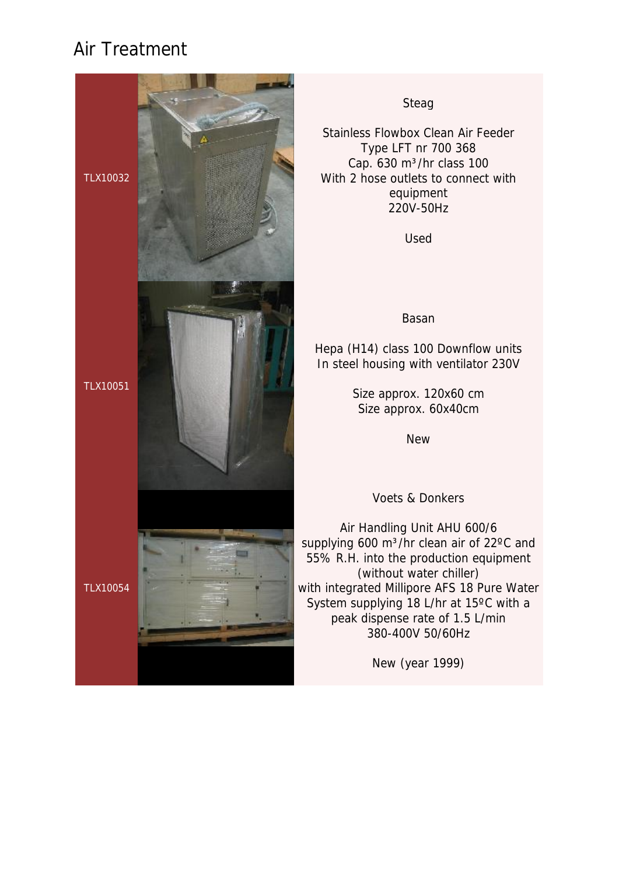

#### Steag

Stainless Flowbox Clean Air Feeder Type LFT nr 700 368 Cap.  $630 \text{ m}^3/\text{hr}$  class 100 With 2 hose outlets to connect with equipment 220V-50Hz

Used

#### Basan

Hepa (H14) class 100 Downflow units In steel housing with ventilator 230V

> Size approx. 120x60 cm Size approx. 60x40cm

> > New

Voets & Donkers

Air Handling Unit AHU 600/6 supplying 600 m<sup>3</sup>/hr clean air of 22°C and 55% R.H. into the production equipment (without water chiller) with integrated Millipore AFS 18 Pure Water System supplying 18 L/hr at 15ºC with a peak dispense rate of 1.5 L/min 380-400V 50/60Hz

New (year 1999)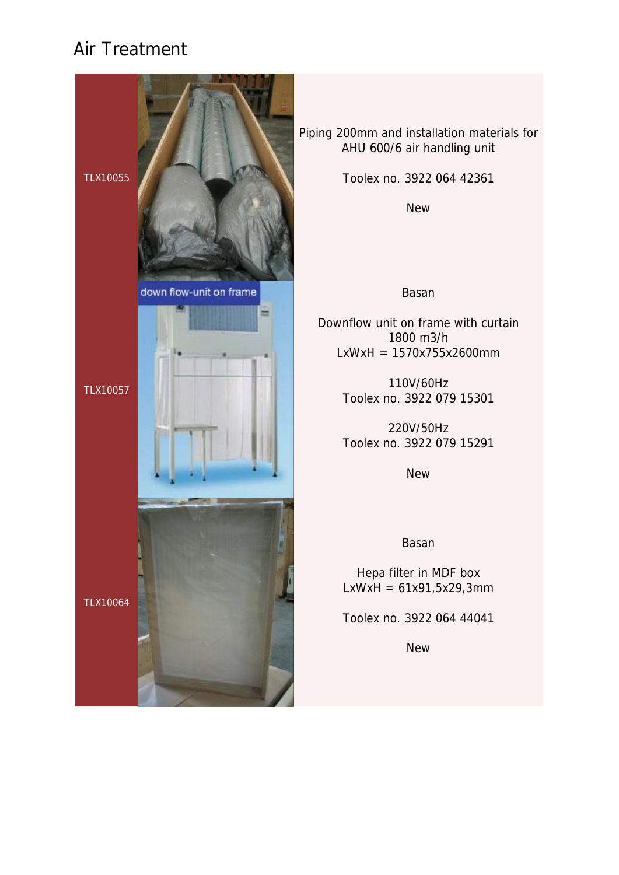

Piping 200mm and installation materials for AHU 600/6 air handling unit

Toolex no. 3922 064 42361

New

#### Basan

Downflow unit on frame with curtain 1800 m3/h LxWxH = 1570x755x2600mm

> 110V/60Hz Toolex no. 3922 079 15301

> 220V/50Hz Toolex no. 3922 079 15291

> > **New**

Basan

Hepa filter in MDF box  $LxWxH = 61x91,5x29,3mm$ 

Toolex no. 3922 064 44041

**New**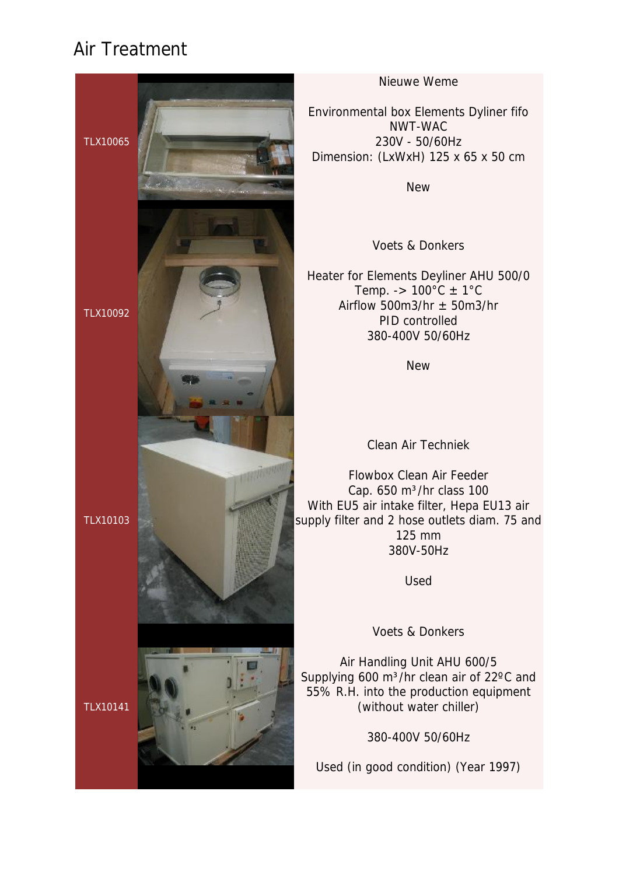

Nieuwe Weme

Environmental box Elements Dyliner fifo NWT-WAC 230V - 50/60Hz Dimension: (LxWxH) 125 x 65 x 50 cm

New

Voets & Donkers

Heater for Elements Deyliner AHU 500/0 Temp. ->  $100^{\circ}$ C  $\pm$  1°C Airflow 500m3/hr  $\pm$  50m3/hr PID controlled 380-400V 50/60Hz

New

Clean Air Techniek

Flowbox Clean Air Feeder Cap.  $650 \text{ m}^3/\text{hr}$  class 100 With EU5 air intake filter, Hepa EU13 air supply filter and 2 hose outlets diam. 75 and 125 mm 380V-50Hz

Used

Voets & Donkers

Air Handling Unit AHU 600/5 Supplying 600 m<sup>3</sup>/hr clean air of 22°C and 55% R.H. into the production equipment (without water chiller)

380-400V 50/60Hz

Used (in good condition) (Year 1997)